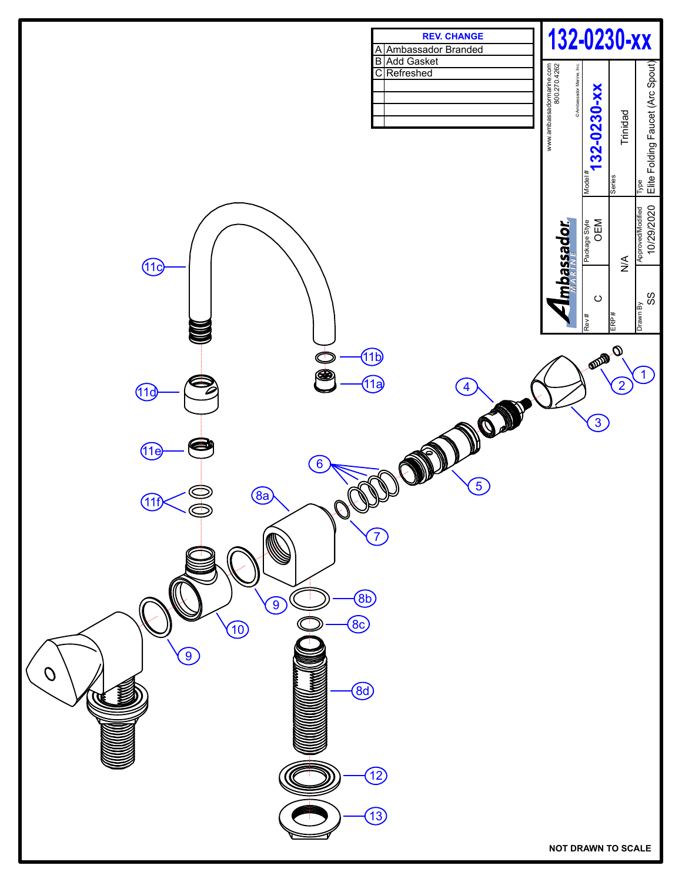